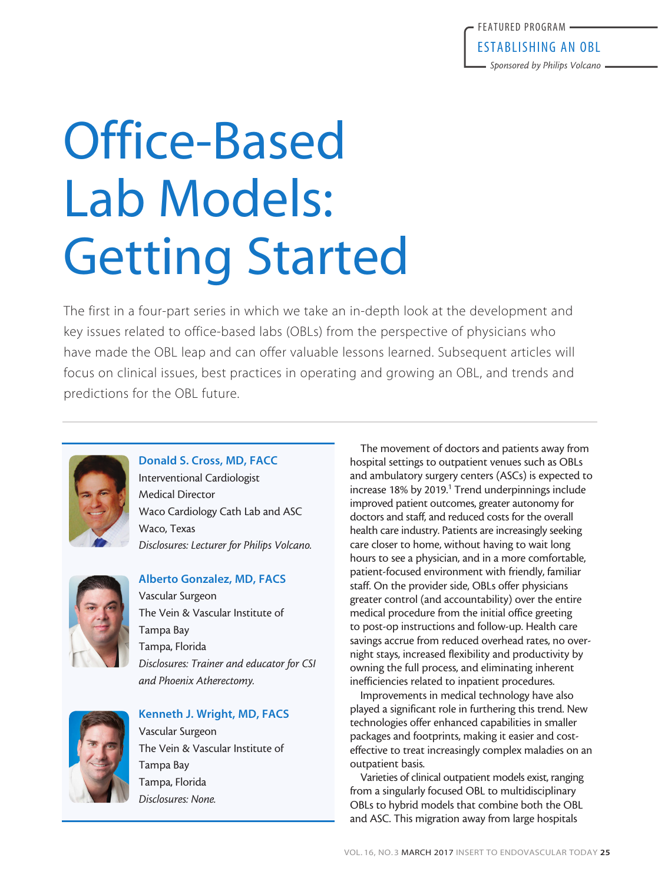# Office-Based Lab Models: Getting Started

The first in a four-part series in which we take an in-depth look at the development and key issues related to office-based labs (OBLs) from the perspective of physicians who have made the OBL leap and can offer valuable lessons learned. Subsequent articles will focus on clinical issues, best practices in operating and growing an OBL, and trends and predictions for the OBL future.



## Donald S. Cross, MD, FACC

Interventional Cardiologist Medical Director Waco Cardiology Cath Lab and ASC Waco, Texas *Disclosures: Lecturer for Philips Volcano.* 



#### Alberto Gonzalez, MD, FACS

Vascular Surgeon The Vein & Vascular Institute of Tampa Bay Tampa, Florida *Disclosures: Trainer and educator for CSI and Phoenix Atherectomy.*



#### Kenneth J. Wright, MD, FACS

Vascular Surgeon The Vein & Vascular Institute of Tampa Bay Tampa, Florida *Disclosures: None.*

The movement of doctors and patients away from hospital settings to outpatient venues such as OBLs and ambulatory surgery centers (ASCs) is expected to increase 18% by 2019.<sup>1</sup> Trend underpinnings include improved patient outcomes, greater autonomy for doctors and staff, and reduced costs for the overall health care industry. Patients are increasingly seeking care closer to home, without having to wait long hours to see a physician, and in a more comfortable, patient-focused environment with friendly, familiar staff. On the provider side, OBLs offer physicians greater control (and accountability) over the entire medical procedure from the initial office greeting to post-op instructions and follow-up. Health care savings accrue from reduced overhead rates, no overnight stays, increased flexibility and productivity by owning the full process, and eliminating inherent inefficiencies related to inpatient procedures.

Improvements in medical technology have also played a significant role in furthering this trend. New technologies offer enhanced capabilities in smaller packages and footprints, making it easier and costeffective to treat increasingly complex maladies on an outpatient basis.

Varieties of clinical outpatient models exist, ranging from a singularly focused OBL to multidisciplinary OBLs to hybrid models that combine both the OBL and ASC. This migration away from large hospitals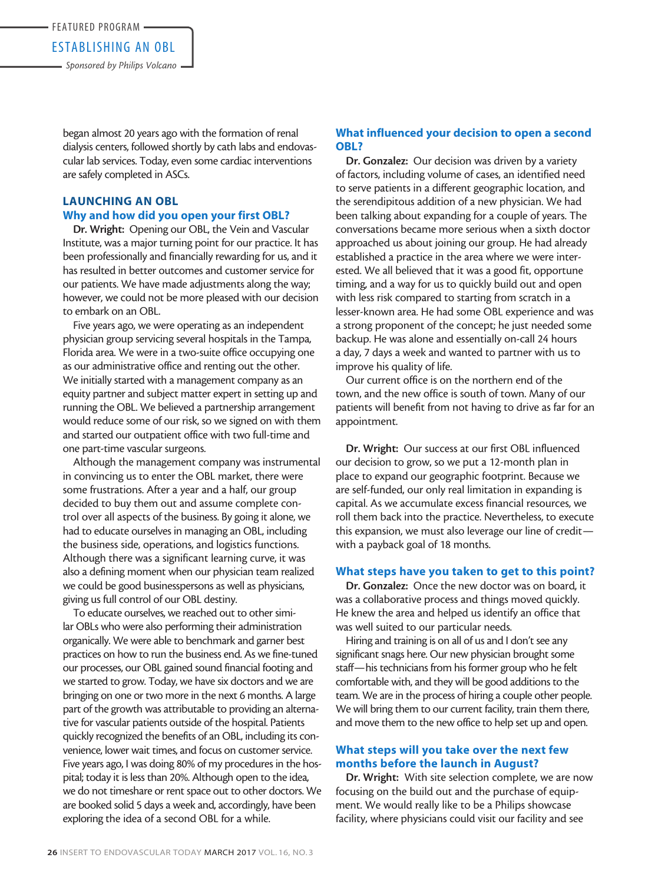began almost 20 years ago with the formation of renal dialysis centers, followed shortly by cath labs and endovascular lab services. Today, even some cardiac interventions are safely completed in ASCs.

### LAUNCHING AN OBL Why and how did you open your first OBL?

Dr. Wright: Opening our OBL, the Vein and Vascular Institute, was a major turning point for our practice. It has been professionally and financially rewarding for us, and it has resulted in better outcomes and customer service for our patients. We have made adjustments along the way; however, we could not be more pleased with our decision to embark on an OBL.

Five years ago, we were operating as an independent physician group servicing several hospitals in the Tampa, Florida area. We were in a two-suite office occupying one as our administrative office and renting out the other. We initially started with a management company as an equity partner and subject matter expert in setting up and running the OBL. We believed a partnership arrangement would reduce some of our risk, so we signed on with them and started our outpatient office with two full-time and one part-time vascular surgeons.

Although the management company was instrumental in convincing us to enter the OBL market, there were some frustrations. After a year and a half, our group decided to buy them out and assume complete control over all aspects of the business. By going it alone, we had to educate ourselves in managing an OBL, including the business side, operations, and logistics functions. Although there was a significant learning curve, it was also a defining moment when our physician team realized we could be good businesspersons as well as physicians, giving us full control of our OBL destiny.

To educate ourselves, we reached out to other similar OBLs who were also performing their administration organically. We were able to benchmark and garner best practices on how to run the business end. As we fine-tuned our processes, our OBL gained sound financial footing and we started to grow. Today, we have six doctors and we are bringing on one or two more in the next 6 months. A large part of the growth was attributable to providing an alternative for vascular patients outside of the hospital. Patients quickly recognized the benefits of an OBL, including its convenience, lower wait times, and focus on customer service. Five years ago, I was doing 80% of my procedures in the hospital; today it is less than 20%. Although open to the idea, we do not timeshare or rent space out to other doctors. We are booked solid 5 days a week and, accordingly, have been exploring the idea of a second OBL for a while.

#### What influenced your decision to open a second OBL?

Dr. Gonzalez: Our decision was driven by a variety of factors, including volume of cases, an identified need to serve patients in a different geographic location, and the serendipitous addition of a new physician. We had been talking about expanding for a couple of years. The conversations became more serious when a sixth doctor approached us about joining our group. He had already established a practice in the area where we were interested. We all believed that it was a good fit, opportune timing, and a way for us to quickly build out and open with less risk compared to starting from scratch in a lesser-known area. He had some OBL experience and was a strong proponent of the concept; he just needed some backup. He was alone and essentially on-call 24 hours a day, 7 days a week and wanted to partner with us to improve his quality of life.

Our current office is on the northern end of the town, and the new office is south of town. Many of our patients will benefit from not having to drive as far for an appointment.

Dr. Wright: Our success at our first OBL influenced our decision to grow, so we put a 12-month plan in place to expand our geographic footprint. Because we are self-funded, our only real limitation in expanding is capital. As we accumulate excess financial resources, we roll them back into the practice. Nevertheless, to execute this expansion, we must also leverage our line of credit with a payback goal of 18 months.

#### What steps have you taken to get to this point?

Dr. Gonzalez: Once the new doctor was on board, it was a collaborative process and things moved quickly. He knew the area and helped us identify an office that was well suited to our particular needs.

Hiring and training is on all of us and I don't see any significant snags here. Our new physician brought some staff—his technicians from his former group who he felt comfortable with, and they will be good additions to the team. We are in the process of hiring a couple other people. We will bring them to our current facility, train them there, and move them to the new office to help set up and open.

#### What steps will you take over the next few months before the launch in August?

Dr. Wright: With site selection complete, we are now focusing on the build out and the purchase of equipment. We would really like to be a Philips showcase facility, where physicians could visit our facility and see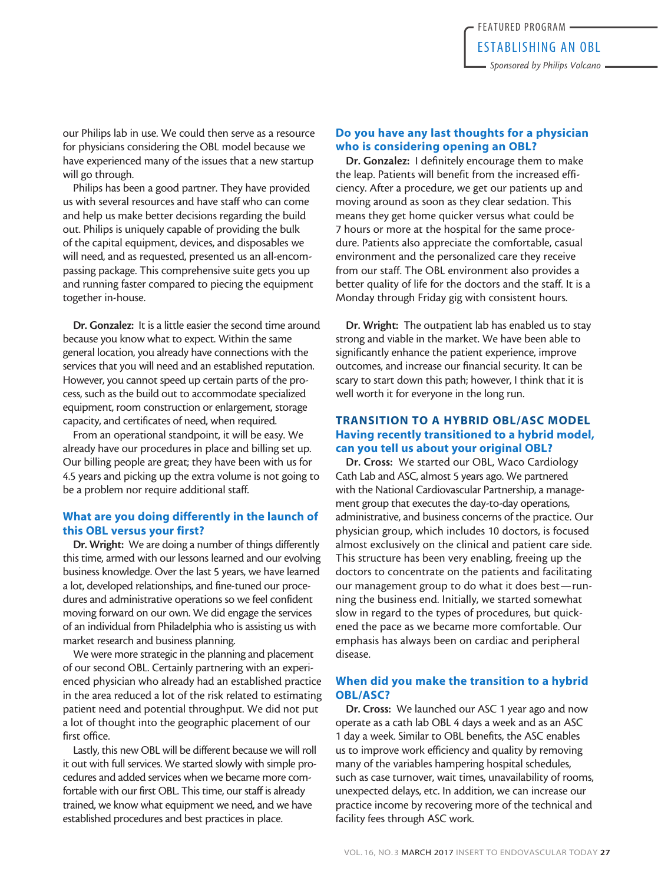our Philips lab in use. We could then serve as a resource for physicians considering the OBL model because we have experienced many of the issues that a new startup will go through.

Philips has been a good partner. They have provided us with several resources and have staff who can come and help us make better decisions regarding the build out. Philips is uniquely capable of providing the bulk of the capital equipment, devices, and disposables we will need, and as requested, presented us an all-encompassing package. This comprehensive suite gets you up and running faster compared to piecing the equipment together in-house.

Dr. Gonzalez: It is a little easier the second time around because you know what to expect. Within the same general location, you already have connections with the services that you will need and an established reputation. However, you cannot speed up certain parts of the process, such as the build out to accommodate specialized equipment, room construction or enlargement, storage capacity, and certificates of need, when required.

From an operational standpoint, it will be easy. We already have our procedures in place and billing set up. Our billing people are great; they have been with us for 4.5 years and picking up the extra volume is not going to be a problem nor require additional staff.

#### What are you doing differently in the launch of this OBL versus your first?

Dr. Wright: We are doing a number of things differently this time, armed with our lessons learned and our evolving business knowledge. Over the last 5 years, we have learned a lot, developed relationships, and fine-tuned our procedures and administrative operations so we feel confident moving forward on our own. We did engage the services of an individual from Philadelphia who is assisting us with market research and business planning.

We were more strategic in the planning and placement of our second OBL. Certainly partnering with an experienced physician who already had an established practice in the area reduced a lot of the risk related to estimating patient need and potential throughput. We did not put a lot of thought into the geographic placement of our first office.

Lastly, this new OBL will be different because we will roll it out with full services. We started slowly with simple procedures and added services when we became more comfortable with our first OBL. This time, our staff is already trained, we know what equipment we need, and we have established procedures and best practices in place.

#### Do you have any last thoughts for a physician who is considering opening an OBL?

Dr. Gonzalez: I definitely encourage them to make the leap. Patients will benefit from the increased efficiency. After a procedure, we get our patients up and moving around as soon as they clear sedation. This means they get home quicker versus what could be 7 hours or more at the hospital for the same procedure. Patients also appreciate the comfortable, casual environment and the personalized care they receive from our staff. The OBL environment also provides a better quality of life for the doctors and the staff. It is a Monday through Friday gig with consistent hours.

Dr. Wright: The outpatient lab has enabled us to stay strong and viable in the market. We have been able to significantly enhance the patient experience, improve outcomes, and increase our financial security. It can be scary to start down this path; however, I think that it is well worth it for everyone in the long run.

#### TRANSITION TO A HYBRID OBL/ASC MODEL Having recently transitioned to a hybrid model, can you tell us about your original OBL?

Dr. Cross: We started our OBL, Waco Cardiology Cath Lab and ASC, almost 5 years ago. We partnered with the National Cardiovascular Partnership, a management group that executes the day-to-day operations, administrative, and business concerns of the practice. Our physician group, which includes 10 doctors, is focused almost exclusively on the clinical and patient care side. This structure has been very enabling, freeing up the doctors to concentrate on the patients and facilitating our management group to do what it does best—running the business end. Initially, we started somewhat slow in regard to the types of procedures, but quickened the pace as we became more comfortable. Our emphasis has always been on cardiac and peripheral disease.

#### When did you make the transition to a hybrid OBL/ASC?

Dr. Cross: We launched our ASC 1 year ago and now operate as a cath lab OBL 4 days a week and as an ASC 1 day a week. Similar to OBL benefits, the ASC enables us to improve work efficiency and quality by removing many of the variables hampering hospital schedules, such as case turnover, wait times, unavailability of rooms, unexpected delays, etc. In addition, we can increase our practice income by recovering more of the technical and facility fees through ASC work.